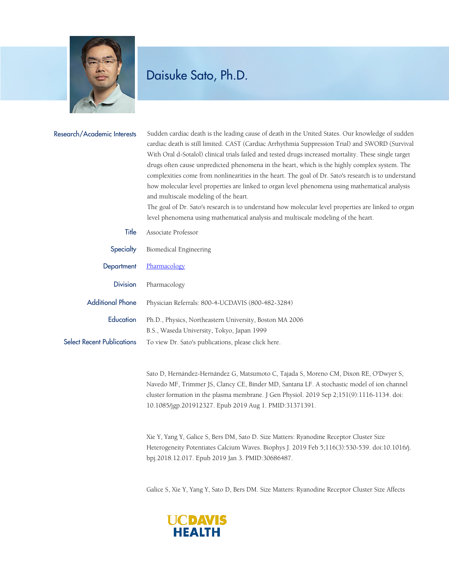

## Daisuke Sato, Ph.D.

| Research/Academic Interests       | Sudden cardiac death is the leading cause of death in the United States. Our knowledge of sudden<br>cardiac death is still limited. CAST (Cardiac Arrhythmia Suppression Trial) and SWORD (Survival<br>With Oral d-Sotalol) clinical trials failed and tested drugs increased mortality. These single target<br>drugs often cause unpredicted phenomena in the heart, which is the highly complex system. The<br>complexities come from nonlinearities in the heart. The goal of Dr. Sato's research is to understand<br>how molecular level properties are linked to organ level phenomena using mathematical analysis<br>and multiscale modeling of the heart.<br>The goal of Dr. Sato's research is to understand how molecular level properties are linked to organ<br>level phenomena using mathematical analysis and multiscale modeling of the heart. |
|-----------------------------------|--------------------------------------------------------------------------------------------------------------------------------------------------------------------------------------------------------------------------------------------------------------------------------------------------------------------------------------------------------------------------------------------------------------------------------------------------------------------------------------------------------------------------------------------------------------------------------------------------------------------------------------------------------------------------------------------------------------------------------------------------------------------------------------------------------------------------------------------------------------|
| Title                             | Associate Professor                                                                                                                                                                                                                                                                                                                                                                                                                                                                                                                                                                                                                                                                                                                                                                                                                                          |
| Specialty                         | Biomedical Engineering                                                                                                                                                                                                                                                                                                                                                                                                                                                                                                                                                                                                                                                                                                                                                                                                                                       |
| Department                        | Pharmacology                                                                                                                                                                                                                                                                                                                                                                                                                                                                                                                                                                                                                                                                                                                                                                                                                                                 |
| <b>Division</b>                   | Pharmacology                                                                                                                                                                                                                                                                                                                                                                                                                                                                                                                                                                                                                                                                                                                                                                                                                                                 |
| <b>Additional Phone</b>           | Physician Referrals: 800-4-UCDAVIS (800-482-3284)                                                                                                                                                                                                                                                                                                                                                                                                                                                                                                                                                                                                                                                                                                                                                                                                            |
| Education                         | Ph.D., Physics, Northeastern University, Boston MA 2006<br>B.S., Waseda University, Tokyo, Japan 1999                                                                                                                                                                                                                                                                                                                                                                                                                                                                                                                                                                                                                                                                                                                                                        |
| <b>Select Recent Publications</b> | To view Dr. Sato's publications, please click here.                                                                                                                                                                                                                                                                                                                                                                                                                                                                                                                                                                                                                                                                                                                                                                                                          |
|                                   | Sato D, Hernández-Hernández G, Matsumoto C, Tajada S, Moreno CM, Dixon RE, O'Dwyer S,<br>Navedo MF, Trimmer JS, Clancy CE, Binder MD, Santana LF. A stochastic model of ion channel<br>cluster formation in the plasma membrane. J Gen Physiol. 2019 Sep 2;151(9):1116-1134. doi:                                                                                                                                                                                                                                                                                                                                                                                                                                                                                                                                                                            |

10.1085/jgp.201912327. Epub 2019 Aug 1. PMID:31371391.

Xie Y, Yang Y, Galice S, Bers DM, Sato D. Size Matters: Ryanodine Receptor Cluster Size Heterogeneity Potentiates Calcium Waves. Biophys J. 2019 Feb 5;116(3):530-539. doi:10.1016/j. bpj.2018.12.017. Epub 2019 Jan 3. PMID:30686487.

Galice S, Xie Y, Yang Y, Sato D, Bers DM. Size Matters: Ryanodine Receptor Cluster Size Affects